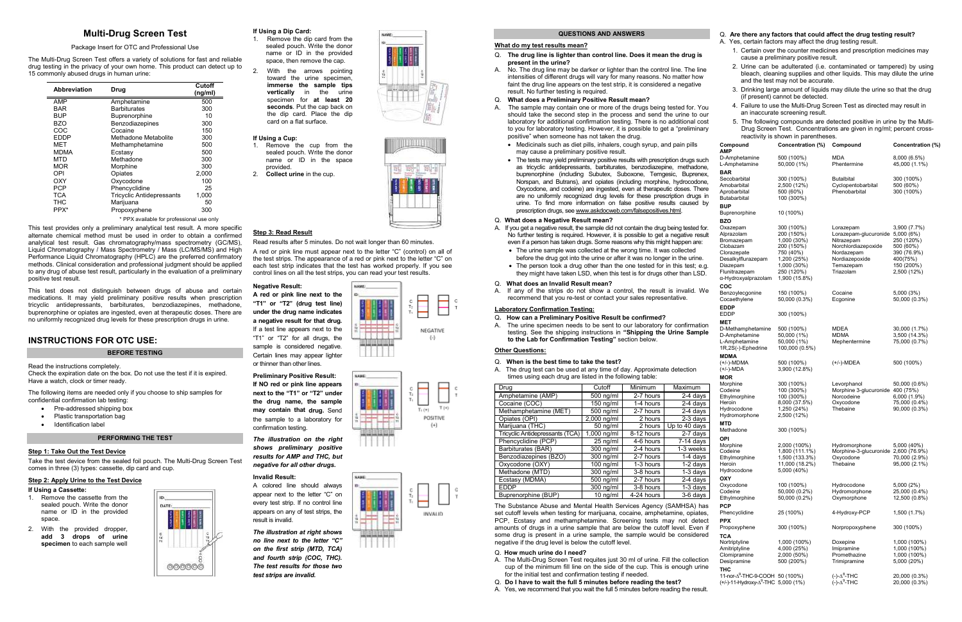## **Multi-Drug Screen Test**

## Package Insert for OTC and Professional Use

The Multi-Drug Screen Test offers a variety of solutions for fast and reliable drug testing in the privacy of your own home. This product can detect up to 15 commonly abused drugs in human urine:

| <b>Abbreviation</b> | Drug                                      | Cutoff<br>(ng/ml) |
|---------------------|-------------------------------------------|-------------------|
| AMP                 | Amphetamine                               | 500               |
| <b>BAR</b>          | <b>Barbiturates</b>                       | 300               |
| BUP                 | Buprenorphine                             | 10                |
| BZO                 | Benzodiazepines                           | 300               |
| COC                 | Cocaine                                   | 150               |
| EDDP                | Methadone Metabolite                      | 300               |
| MET                 | Methamphetamine                           | 500               |
| <b>MDMA</b>         | Ecstasy                                   | 500               |
| MTD                 | Methadone                                 | 300               |
| <b>MOR</b>          | Morphine                                  | 300               |
| OPI                 | Opiates                                   | 2,000             |
| OXY                 | Oxycodone                                 | 100               |
| PCP                 | Phencyclidine                             | 25                |
| TCA                 | <b>Tricyclic Antidepressants</b>          | 1,000             |
| THC                 | Marijuana                                 | 50                |
| PPX*                | Propoxyphene                              | 300               |
|                     | * PPX available for professional use only |                   |

This test provides only a preliminary analytical test result. A more specific alternate chemical method must be used in order to obtain a confirmed analytical test result. Gas chromatography/mass spectrometry (GC/MS), Liquid Chromatography / Mass Spectrometry / Mass (LC/MS/MS) and High Performance Liquid Chromatography (HPLC) are the preferred confirmatory methods. Clinical consideration and professional judgment should be applied to any drug of abuse test result, particularly in the evaluation of a preliminary

positive test result.

This test does not distinguish between drugs of abuse and certain medications. It may yield preliminary positive results when prescription tricyclic antidepressants, barbiturates, benzodiazepines, methadone, buprenorphine or opiates are ingested, even at therapeutic doses. There are no uniformly recognized drug levels for these prescription drugs in urine.

**INSTRUCTIONS FOR OTC USE:**

**BEFORE TESTING** 

Read the instructions completely.

Check the expiration date on the box. Do not use the test if it is expired.

Have a watch, clock or timer ready.

The following items are needed only if you choose to ship samples for

confidential confirmation lab testing: • Pre-addressed shipping box • Plastic transportation bag • Identification label

**PERFORMING THE TEST** 

**Step 1: Take Out the Test Device**

Take the test device from the sealed foil pouch. The Multi-Drug Screen Test

DATE:

000000

comes in three (3) types: cassette, dip card and cup.

**Step 2: Apply Urine to the Test Device**

**If Using a Cassette:**

 1. Remove the cassette from the sealed pouch. Write the donor name or ID in the provided

space.

2. With the provided dropper, **add 3 drops of urine specimen** to each sample well **If Using a Dip Card:**

 1. Remove the dip card from the sealed pouch. Write the donor name or ID in the provided space, then remove the cap.

2. With the arrows pointing toward the urine specimen, **immerse the sample tips vertically** in the urine specimen for **at least 20 seconds**. Put the cap back on the dip card. Place the dip card on a flat surface.

## **If Using a Cup:**

- 1. Remove the cup from the sealed pouch. Write the donor name or ID in the space provided.
- 2. **Collect urine** in the cup.





## **Step 3: Read Result**

Read results after 5 minutes. Do not wait longer than 60 minutes.

A red or pink line must appear next to the letter "C" (control) on all of the test strips. The appearance of a red or pink next to the letter "C" on each test strip indicates that the test has worked properly. If you see control lines on all the test strips, you can read your test results.

## **Negative Result:**

 **A red or pink line next to the "T1" or "T2" (drug test line) under the drug name indicates a negative result for that drug.**If a test line appears next to the "T1" or "T2" for all drugs, the sample is considered negative. Certain lines may appear lighter

or thinner than other lines.

**Preliminary Positive Result: If NO red or pink line appears next to the "T1" or "T2" under the drug name, the sample may contain that drug.** Send the sample to a laboratory for confirmation testing.

*The illustration on the right shows preliminary positive results for AMP and THC, but negative for all other drugs.*

## **Invalid Result:**

 A colored line should always appear next to the letter "C" on every test strip. If no control line appears on any of test strips, the result is invalid.

*The illustration at right shows no line next to the letter "C" on the first strip (MTD, TCA) and fourth strip (COC, THC). The test results for those two test strips are invalid.*







## **QUESTIONS AND ANSWERS**

## **What do my test results mean?**

- Q. **The drug line is lighter than control line. Does it mean the drug is present in the urine?**
- A. No. The drug line may be darker or lighter than the control line. The line intensities of different drugs will vary for many reasons. No matter how faint the drug line appears on the test strip, it is considered a negative result. No further testing is required.
- Q. **What does a Preliminary Positive Result mean?**
- A. The sample may contain one or more of the drugs being tested for. You should take the second step in the process and send the urine to our laboratory for additional confirmation testing. There is no additional cost to you for laboratory testing. However, it is possible to get a "preliminary positive" when someone has not taken the drug.
	- may cause a preliminary positive result.
	-

- even if a person has taken drugs. Some reasons why this might happen are:
	-
- 

## **Laboratory Confirmation Testing:**

- 
- **to the Lab for Confirmation Testing"** section below.

## **Other Questions:**

- 
- 
- A. Yes, we recommend that you wait the full 5 minutes before reading the result.

|                                                                                        | • Medicinals such as diet pills, inhalers, cough syrup, and pain pills<br>may cause a preliminary positive result. |                         |                             |                                              | Concentration (%)                       | Compound                                      | Concentration (%)              |
|----------------------------------------------------------------------------------------|--------------------------------------------------------------------------------------------------------------------|-------------------------|-----------------------------|----------------------------------------------|-----------------------------------------|-----------------------------------------------|--------------------------------|
| The tests may yield preliminary positive results with prescription drugs such          |                                                                                                                    |                         |                             | AMP<br>D-Amphetamine                         | 500 (100%)                              | <b>MDA</b>                                    | $8,000(6.5\%)$                 |
| as tricyclic antidepressants, barbiturates, benzodiazepine, methadone,                 |                                                                                                                    |                         |                             | L-Amphetamine<br><b>BAR</b>                  | 50,000 (1%)                             | Phentermine                                   | 45,000 (1.1%)                  |
|                                                                                        | buprenorphine (including Subutex, Suboxone, Temgesic, Buprenex,                                                    |                         |                             |                                              |                                         |                                               |                                |
|                                                                                        | Norspan, and Butrans), and opiates (including morphine, hydrocodone,                                               |                         | Secobarbital<br>Amobarbital | 300 (100%)<br>2,500 (12%)                    | <b>Butalbital</b><br>Cyclopentobarbital | 300 (100%)<br>500 (60%)                       |                                |
| Oxycodone, and codeine) are ingested, even at therapeutic doses. There                 |                                                                                                                    |                         |                             | Aprobarbital                                 | 500 (60%)                               | Phenobarbital                                 | 300 (100%)                     |
| are no uniformly recognized drug levels for these prescription drugs in                |                                                                                                                    |                         |                             | Butabarbital                                 | 100 (300%)                              |                                               |                                |
| urine. To find more information on false positive results caused by                    |                                                                                                                    |                         |                             | <b>BUP</b>                                   |                                         |                                               |                                |
| prescription drugs, see www.askdocweb.com/falsepositives.html.                         |                                                                                                                    |                         |                             | Buprenorphine                                | 10 (100%)                               |                                               |                                |
| Q. What does a Negative Result mean?                                                   |                                                                                                                    |                         |                             | <b>BZO</b>                                   |                                         |                                               |                                |
| A. If you get a negative result, the sample did not contain the drug being tested for. |                                                                                                                    |                         |                             | Oxazepam<br>Alprazolam                       | 300 (100%)                              | Lorazepam<br>Lorazepam-glucuronide 5,000 (6%) | 3,900 (7.7%)                   |
| No further testing is required. However, it is possible to get a negative result       |                                                                                                                    |                         |                             | Bromazepam                                   | 200 (150%)<br>1,000 (30%)               | Nitrazepam                                    | 250 (120%)                     |
| even if a person has taken drugs. Some reasons why this might happen are:              |                                                                                                                    |                         |                             | Clobazam                                     | 200 (150%)                              | Norchlordiazepoxide                           | 500 (60%)                      |
| • The urine sample was collected at the wrong time. It was collected                   |                                                                                                                    |                         |                             | Clorazepate                                  | 750 (40%)                               | Nordazepam                                    | 390 (76.9%)                    |
| before the drug got into the urine or after it was no longer in the urine.             |                                                                                                                    |                         |                             | Desalkylflurazepam<br>Diazepam               | 1,200 (25%)<br>1,000 (30%)              | Nordiazepoxide<br>Temazepam                   | 400(75%)<br>150 (200%)         |
| • The person took a drug other than the one tested for in this test; e.g.              |                                                                                                                    |                         |                             | Flunitrazepam                                | 250 (120%)                              | Triazolam                                     | 2,500 (12%)                    |
| they might have taken LSD, when this test is for drugs other than LSD.                 |                                                                                                                    |                         |                             | α-Hydroxyalprazolam                          | 1,900 (15.8%)                           |                                               |                                |
| Q. What does an Invalid Result mean?                                                   |                                                                                                                    |                         |                             | <b>COC</b>                                   |                                         |                                               |                                |
| A. If any of the strips do not show a control, the result is invalid. We               |                                                                                                                    |                         |                             | Benzoylecgonine                              | 150 (100%)                              | Cocaine                                       | 5,000 (3%)                     |
| recommend that you re-test or contact your sales representative.                       |                                                                                                                    |                         |                             | Cocaethylene                                 | 50,000 (0.3%)                           | Ecgonine                                      | 50,000 (0.3%)                  |
| <b>Laboratory Confirmation Testing:</b>                                                |                                                                                                                    |                         |                             | <b>EDDP</b>                                  |                                         |                                               |                                |
| Q. How can a Preliminary Positive Result be confirmed?                                 |                                                                                                                    |                         |                             | <b>EDDP</b>                                  | 300 (100%)                              |                                               |                                |
| A. The urine specimen needs to be sent to our laboratory for confirmation              |                                                                                                                    |                         |                             | <b>MET</b>                                   |                                         |                                               |                                |
| testing. See the shipping instructions in "Shipping the Urine Sample                   |                                                                                                                    |                         |                             | D-Methamphetamine<br>D-Amphetamine           | 500 (100%)<br>50,000 (1%)               | <b>MDEA</b><br><b>MDMA</b>                    | 30,000 (1.7%)<br>3,500 (14.3%) |
| to the Lab for Confirmation Testing" section below.                                    |                                                                                                                    |                         |                             | L-Amphetamine                                | 50,000 (1%)                             | Mephentermine                                 | 75,000 (0.7%)                  |
| <b>Other Questions:</b>                                                                |                                                                                                                    |                         |                             | 1R,2S(-)-Ephedrine                           | 100,000 (0.5%)                          |                                               |                                |
|                                                                                        |                                                                                                                    |                         |                             | <b>MDMA</b>                                  |                                         |                                               |                                |
| Q. When is the best time to take the test?                                             |                                                                                                                    |                         |                             | (+/-)-MDMA                                   | 500 (100%)                              | (+/-)-MDEA                                    | 500 (100%)                     |
| A. The drug test can be used at any time of day. Approximate detection                 |                                                                                                                    |                         |                             | (+/-)-MDA                                    | 3,900 (12.8%)                           |                                               |                                |
| times using each drug are listed in the following table:                               |                                                                                                                    |                         |                             | <b>MOR</b><br>Morphine                       | 300 (100%)                              | Levorphanol                                   | 50,000 (0.6%)                  |
| <b>Drug</b>                                                                            | Cutoff                                                                                                             | Minimum                 | Maximum                     | Codeine                                      | 100 (300%)                              | Morphine 3-glucuronide 400 (75%)              |                                |
| Amphetamine (AMP)                                                                      | 500 ng/ml                                                                                                          | 2-7 hours               | 2-4 days                    | Ethylmorphine                                | 100 (300%)                              | Norcodeine                                    | $6,000(1.9\%)$                 |
| Cocaine (COC)                                                                          | $150$ ng/ml                                                                                                        | 1-4 hours               | 2-4 days                    | Heroin                                       | 8,000 (37.5%)                           | Oxycodone                                     | 75,000 (0.4%)                  |
| Methamphetamine (MET)                                                                  | 500 ng/ml                                                                                                          | 2-7 hours               | 2-4 days                    | Hydrocodone<br>Hydromorphone                 | 1,250 (24%)                             | Thebaine                                      | 90,000 (0.3%)                  |
| Opiates (OPI)                                                                          | 2,000 ng/ml                                                                                                        | 2 hours                 | 2-3 days                    | <b>MTD</b>                                   | 2,500 (12%)                             |                                               |                                |
| Marijuana (THC)                                                                        | 50 ng/ml                                                                                                           | 2 hours                 | Up to 40 days               | Methadone                                    | 300 (100%)                              |                                               |                                |
| Tricyclic Antidepressants (TCA)                                                        | 1,000 ng/ml                                                                                                        | 8-12 hours              | 2-7 days                    | OPI                                          |                                         |                                               |                                |
| Phencyclidine (PCP)                                                                    | 25 ng/ml                                                                                                           | 4-6 hours               | $\overline{7}$ -14 days     | Morphine                                     | 2,000 (100%)                            | Hydromorphone                                 | 5,000 (40%)                    |
| Barbiturates (BAR)                                                                     | 300 ng/ml                                                                                                          | 2-4 hours               | 1-3 weeks                   | Codeine                                      | 1,800 (111.1%)                          | Morphine-3-glucuronide 2,600 (76.9%)          |                                |
| Benzodiazepines (BZO)                                                                  | 300 ng/ml                                                                                                          | 2-7 hours               | $1-4$ days                  | Ethylmorphine                                | 1,500 (133.3%)                          | Oxycodone                                     | 70,000 (2.9%)                  |
| Oxycodone (OXY)                                                                        | $100$ ng/ml                                                                                                        | $1-3$ hours             | $1-2$ days                  | Heroin<br>Hydrocodone                        | 11,000 (18.2%)<br>5,000 (40%)           | Thebaine                                      | 95,000 (2.1%)                  |
| Methadone (MTD)                                                                        | 300 ng/ml                                                                                                          | 3-8 hours               | $1-3$ days                  | <b>OXY</b>                                   |                                         |                                               |                                |
| Ecstasy (MDMA)                                                                         | 500 ng/ml<br>$300$ ng/ml                                                                                           | 2-7 hours               | 2-4 days<br>$1-3$ days      | Oxycodone                                    | 100 (100%)                              | Hydrocodone                                   | 5,000 (2%)                     |
| <b>EDDP</b><br>Buprenorphine (BUP)                                                     | $10 \text{ ng/ml}$                                                                                                 | 3-8 hours<br>4-24 hours | $3-6$ days                  | Codeine                                      | 50,000 (0.2%)                           | Hydromorphone                                 | 25,000 (0.4%)                  |
|                                                                                        |                                                                                                                    |                         |                             | Ethylmorphine                                | 50,000 (0.2%)                           | Oxymorphone                                   | 12,500 (0.8%)                  |
| The Substance Abuse and Mental Health Services Agency (SAMHSA) has                     |                                                                                                                    |                         |                             | <b>PCP</b>                                   |                                         |                                               |                                |
| set cutoff levels when testing for marijuana, cocaine, amphetamine, opiates,           |                                                                                                                    |                         |                             | Phencyclidine                                | 25 (100%)                               | 4-Hydroxy-PCP                                 | 1,500 (1.7%)                   |
| PCP, Ecstasy and methamphetamine. Screening tests may not detect                       |                                                                                                                    |                         |                             | <b>PPX</b>                                   |                                         |                                               |                                |
| amounts of drugs in a urine sample that are below the cutoff level. Even if            |                                                                                                                    |                         |                             | Propoxyphene                                 | 300 (100%)                              | Norpropoxyphene                               | 300 (100%)                     |
| some drug is present in a urine sample, the sample would be considered                 |                                                                                                                    |                         |                             | <b>TCA</b>                                   |                                         |                                               |                                |
| negative if the drug level is below the cutoff level.                                  |                                                                                                                    |                         |                             | Nortriptyline<br>Amitriptyline               | 1,000 (100%)<br>4,000 (25%)             | Doxepine<br>Imipramine                        | 1,000 (100%)<br>1,000 (100%)   |
| Q. How much urine do I need?                                                           |                                                                                                                    |                         |                             | Clomipramine                                 | 2,000 (50%)                             | Promethazine                                  | 1,000 (100%)                   |
| A. The Multi-Drug Screen Test requites just 30 ml of urine. Fill the collection        |                                                                                                                    |                         |                             | Desipramine                                  | 500 (200%)                              | Trimipramine                                  | 5,000 (20%)                    |
| cup of the minimum fill line on the side of the cup. This is enough urine              |                                                                                                                    |                         |                             | <b>THC</b>                                   |                                         |                                               |                                |
| for the initial test and confirmation testing if needed.                               |                                                                                                                    |                         |                             | 11-nor- $\Delta^9$ -THC-9-COOH 50 (100%)     |                                         | $(-)-\Delta^8$ -THC                           | 20,000 (0.3%)                  |
| Q. Do I have to wait the full 5 minutes before reading the test?                       |                                                                                                                    |                         |                             | (+/-)-11-Hydroxy- $\Delta^9$ -THC 5,000 (1%) |                                         | $(-)-\Delta^9$ -THC                           | 20,000 (0.3%)                  |
| A Yes we recommend that you wait the full 5 minutes before reading the result          |                                                                                                                    |                         |                             |                                              |                                         |                                               |                                |

## Q. **Are there any factors that could affect the drug testing result?**

A. Yes, certain factors may affect the drug testing result.

- 1. Certain over the counter medicines and prescription medicines may cause a preliminary positive result.
- 2. Urine can be adulterated (i.e. contaminated or tampered) by using bleach, cleaning supplies and other liquids. This may dilute the urine and the test may not be accurate.
- 3. Drinking large amount of liquids may dilute the urine so that the drug (if present) cannot be detected.
- 4. Failure to use the Multi-Drug Screen Test as directed may result in an inaccurate screening result.
- 5. The following compounds are detected positive in urine by the Multi-Drug Screen Test. Concentrations are given in ng/ml; percent crossreactivity is shown in parentheses.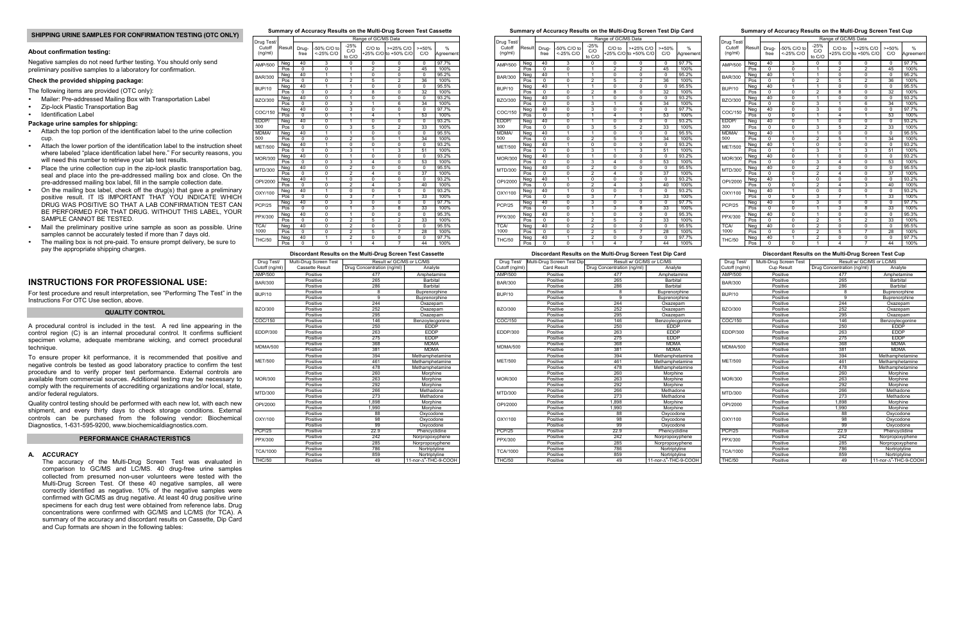## **SHIPPING URINE SAMPLES FOR CONFIRMATION TESTING (OTC ONLY)**

## **About confirmation testing:**

Negative samples do not need further testing. You should only send preliminary positive samples to a laboratory for confirmation.

## **Check the provided shipping package:**

The following items are provided (OTC only):

- Mailer: Pre-addressed Mailing Box with Transportation Label
- Zip-lock Plastic Transportation Bag
- Identification Label

## **Package urine samples for shipping:**

- Attach the top portion of the identification label to the urine collection cup.
- Attach the lower portion of the identification label to the instruction sheet where labeled "place identification label here." For security reasons, you will need this number to retrieve your lab test results.
- Place the urine collection cup in the zip-lock plastic transportation bag, seal and place into the pre-addressed mailing box and close. On the pre-addressed mailing box label, fill in the sample collection date.
- On the mailing box label, check off the drug(s) that gave a preliminary positive result. IT IS IMPORTANT THAT YOU INDICATE WHICH DRUG WAS POSITIVE SO THAT A LAB CONFIRMATION TEST CAN BE PERFORMED FOR THAT DRUG. WITHOUT THIS LABEL, YOUR SAMPLE CANNOT BE TESTED.
- Mail the preliminary positive urine sample as soon as possible. Urine samples cannot be accurately tested if more than 7 days old.
- The mailing box is not pre-paid. To ensure prompt delivery, be sure to pay the appropriate shipping charges.

## **INSTRUCTIONS FOR PROFESSIONAL USE:**

 For test procedure and result interpretation, see "Performing The Test" in the Instructions For OTC Use section, above.

## **QUALITY CONTROL**

A procedural control is included in the test. A red line appearing in the control region (C) is an internal procedural control. It confirms sufficient specimen volume, adequate membrane wicking, and correct procedural technique.

To ensure proper kit performance, it is recommended that positive and negative controls be tested as good laboratory practice to confirm the test procedure and to verify proper test performance. External controls are available from commercial sources. Additional testing may be necessary to comply with the requirements of accrediting organizations and/or local, state, and/or federal regulators.

Quality control testing should be performed with each new lot, with each new shipment, and every thirty days to check storage conditions. External controls can be purchased from the following vendor: Biochemical Diagnostics, 1-631-595-9200, www.biochemicaldiagnostics.com.

## **PERFORMANCE CHARACTERISTICS**

## **A. ACCURACY**

 The accuracy of the Multi-Drug Screen Test was evaluated in comparison to GC/MS and LC/MS. 40 drug-free urine samples collected from presumed non-user volunteers were tested with the Multi-Drug Screen Test. Of these 40 negative samples, all were correctly identified as negative. 10% of the negative samples were confirmed with GC/MS as drug negative. At least 40 drug positive urine specimens for each drug test were obtained from reference labs. Drug concentrations were confirmed with GC/MS and LC/MS (for TCA). A summary of the accuracy and discordant results on Cassette, Dip Card and Cup formats are shown in the following tables:

# **Summary of Accuracy Results on the Multi-Drug Screen Test Cassette**

Drug Test/ Drug Test/ Decomposition of GC/MS Data

| Cutoff<br>(nq/ml) | Result           | Drug-<br>free  | -50% C/O to<br><-25% C/O | $-25%$<br>C/O<br>to C/O | $C/O$ to       | >+25% C/O<br>+25% C/O to +50% C/O | $> +50\%$<br>C/O | %<br>Agreement |
|-------------------|------------------|----------------|--------------------------|-------------------------|----------------|-----------------------------------|------------------|----------------|
| AMP/500           | Neg              | 40             | 3                        | $\Omega$                | $\Omega$       | $\Omega$                          | $\Omega$         | 97.7%          |
|                   | Pos              | $\overline{0}$ | $\overline{0}$           | 1                       | $\overline{2}$ | 2                                 | 45               | 100%           |
| <b>BAR/300</b>    | Neg              | 40             | $\overline{1}$           | $\mathbf{1}$            | $\mathbf 0$    | 0                                 | $\mathbf 0$      | 95.2%          |
|                   | Pos              | $\Omega$       | 0                        | $\overline{2}$          | 5              | $\overline{2}$                    | 36               | 100%           |
| <b>BUP/10</b>     | Neg              | 40             | 1                        | 1                       | 0              | $\overline{0}$                    | $\Omega$         | 95.5%          |
|                   | Pos              | $\Omega$       | 0                        | $\overline{2}$          | 8              | $\Omega$                          | 32               | 100%           |
| <b>BZO/300</b>    | Neg              | 40             | 0                        | 1                       | 0              | $\overline{0}$                    | 0                | 93.2%          |
|                   | Pos              | $\Omega$       | $\Omega$                 | 3                       | 1              | 6                                 | 34               | 100%           |
| COC/150           | Neg              | 40             | 0                        | 3                       | $\overline{0}$ | 0                                 | $\Omega$         | 97.7%          |
|                   | Pos              | 0              | $\overline{0}$           | $\overline{1}$          | $\overline{4}$ | 1                                 | 53               | 100%           |
| EDDP/             | Neg              | 40             | 0                        | $\overline{1}$          | 0              | 0                                 | $\mathbf 0$      | 93.2%          |
| 300               | Pos              | $\mathbf 0$    | 0                        | 3                       | 5              | $\overline{2}$                    | 33               | 100%           |
| MDMA/             | Neg              | 40             | 1                        | 1                       | $\overline{0}$ | 0                                 | $\Omega$         | 95.5%          |
| 500               | Pos              | $\Omega$       | 0                        | $\overline{2}$          | 5              | 1                                 | 34               | 100%           |
|                   | Neg              | 40             | 1                        | 0                       | 0              | 0                                 | $\mathbf 0$      | 93.2%          |
| <b>MET/500</b>    | Pos              | $\overline{0}$ | 0                        | 3                       | 1              | 3                                 | 51               | 100%           |
| <b>MOR/300</b>    | Neg              | 40             | $\overline{0}$           | $\overline{1}$          | $\overline{0}$ | $\overline{0}$                    | $\Omega$         | 93.2%          |
|                   | Pos              | 0              | 0                        | 3                       | $\overline{4}$ | 0                                 | 53               | 100%           |
| MTD/300           | Neg              | 40             | 0                        | 2                       | $\mathbf 0$    | 0                                 | $\mathbf 0$      | 95.5%          |
|                   | Pos              | $\Omega$       | $\overline{0}$           | $\overline{2}$          | $\overline{4}$ | 0                                 | 37               | 100%           |
| OPI/2000          | Neg              | 40             | 1                        | 0                       | 0              | 0                                 | $\Omega$         | 93.2%          |
|                   | Pos              | 0              | 0                        | $\overline{2}$          | $\overline{4}$ | 3                                 | 40               | 100%           |
| OXY/100           | Neg              | 40             | 1                        | 0                       | 0              | 0                                 | $\Omega$         | 93.2%          |
|                   | Pos              | $\overline{0}$ | 0                        | 3                       | 7              | $\overline{1}$                    | 33               | 100%           |
| <b>PCP/25</b>     | Neg              | 40             | 0                        | 3                       | 0              | 0                                 | $\mathbf 0$      | 97.7%          |
|                   | Pos              | $\Omega$       | 0                        | $\overline{1}$          | 3              | 8                                 | 33               | 100%           |
|                   | Neg              | 40             | $\overline{0}$           | $\overline{1}$          | $\overline{0}$ | 0                                 | $\mathbf 0$      | 95.3%          |
| PPX/300           | $\overline{Pos}$ | $\overline{0}$ | $\overline{0}$           | $\overline{2}$          | 5              | $\overline{\mathbf{2}}$           | 33               | 100%           |
| <b>TCA/</b>       | Neg              | 40             | 0                        | $\overline{2}$          | 0              | 0                                 | $\mathbf 0$      | 95.5%          |
| 1000              | Pos              | $\mathbf 0$    | 0                        | $\overline{\mathbf{c}}$ | 5              | $\overline{7}$                    | 28               | 100%           |
|                   | Neg              | 40             | 1                        | $\overline{2}$          | 0              | 0                                 | $\Omega$         | 97.7%          |
| <b>THC/50</b>     | Pos              | 0              | 0                        | $\overline{1}$          | $\overline{4}$ | 7                                 | 44               | 100%           |

| Discordant Results on the Multi-Drug Screen Test Cassette |                        |                            |                                   |  |  |
|-----------------------------------------------------------|------------------------|----------------------------|-----------------------------------|--|--|
| Drug Test/                                                | Multi-Drug Screen Test | Result w/ GC/MS or LC/MS   |                                   |  |  |
| Cutoff (ng/ml)                                            | Cassette Result        | Drug Concentration (ng/ml) | Analyte                           |  |  |
| <b>AMP/500</b>                                            | Positive               | 477                        | Amphetamine                       |  |  |
| <b>BAR/300</b>                                            | Positive               | 265                        | <b>Barbital</b>                   |  |  |
|                                                           | Positive               | 286                        | <b>Barbital</b>                   |  |  |
| <b>BUP/10</b>                                             | Positive               | 8                          | Buprenorphine                     |  |  |
|                                                           | Positive               | 9                          | Buprenorphine                     |  |  |
|                                                           | Positive               | 244                        | Oxazepam                          |  |  |
| BZO/300                                                   | Positive               | 252                        | Oxazepam                          |  |  |
|                                                           | Positive               | 295                        | Oxazepam                          |  |  |
| COC/150                                                   | Positive               | 146                        | Benzoylecgonine                   |  |  |
|                                                           | Positive               | 250                        | <b>EDDP</b>                       |  |  |
| EDDP/300                                                  | Positive               | 263                        | <b>EDDP</b>                       |  |  |
|                                                           | Positive               | 275                        | <b>EDDP</b>                       |  |  |
|                                                           | Positive               | 368                        | <b>MDMA</b>                       |  |  |
| <b>MDMA/500</b>                                           | Positive               | 381                        | <b>MDMA</b>                       |  |  |
|                                                           | Positive               | 394                        | Methamphetamine                   |  |  |
| <b>MET/500</b>                                            | Positive               | 461                        | Methamphetamine                   |  |  |
|                                                           | Positive               | 478                        | Methamphetamine                   |  |  |
|                                                           | Positive               | 260                        | Morphine                          |  |  |
| MOR/300                                                   | Positive               | 263                        | Morphine                          |  |  |
|                                                           | Positive               | 292                        | Morphine                          |  |  |
| MTD/300                                                   | Positive               | 266                        | Methadone                         |  |  |
|                                                           | Positive               | 273                        | Methadone                         |  |  |
| OPI/2000                                                  | Positive               | 1,898                      | Morphine                          |  |  |
|                                                           | Positive               | 1,990                      | Morphine                          |  |  |
|                                                           | Positive               | 88                         | Oxycodone                         |  |  |
| OXY/100                                                   | Positive               | 98                         | Oxycodone                         |  |  |
|                                                           | Positive               | 99                         | Oxycodone                         |  |  |
| <b>PCP/25</b>                                             | Positive               | 22.9                       | Phencyclidine                     |  |  |
| PPX/300                                                   | Positive               | 242                        | Norpropoxyphene                   |  |  |
|                                                           | Positive               | 285                        | Norpropoxyphene                   |  |  |
| <b>TCA/1000</b>                                           | Positive               | 786                        | Nortriptyline                     |  |  |
|                                                           | Positive               | 859                        | Nortriptyline                     |  |  |
| <b>THC/50</b>                                             | Positive               | 49                         | 11-nor-A <sup>9</sup> -THC-9-COOH |  |  |

### **Summary of Accuracy Results on the Multi-Drug Screen Test Dip Card**

| Drug Test/        |          | Range of GC/MS Data |                          |                         |                         |                                   |                 |                |  |
|-------------------|----------|---------------------|--------------------------|-------------------------|-------------------------|-----------------------------------|-----------------|----------------|--|
| Cutoff<br>(ng/ml) | Result   | Drug-<br>free       | -50% C/O to<br><-25% C/O | $-25%$<br>C/O<br>to C/O | $C/O$ to                | >+25% C/O<br>+25% C/O to +50% C/O | $> +50%$<br>C/O | %<br>Agreement |  |
| AMP/500           | Neg      | 40                  | 3                        | 0                       | 0                       | 0                                 | 0               | 97.7%          |  |
|                   | Pos      | $\Omega$            | 0                        | 1                       | $\overline{2}$          | $\overline{2}$                    | 45              | 100%           |  |
| <b>BAR/300</b>    | Neg      | 40                  | 1                        | 1                       | 0                       | 0                                 | $\Omega$        | 95.2%          |  |
|                   | Pos      | 0                   | 0                        | $\overline{2}$          | 5                       | $\overline{2}$                    | 36              | 100%           |  |
| <b>BUP/10</b>     | Neg      | 40                  | 1                        | 1                       | 0                       | $\mathbf 0$                       | $\Omega$        | 95.5%          |  |
|                   | Pos      | $\Omega$            | $\Omega$                 | $\overline{2}$          | 8                       | $\overline{0}$                    | 32              | 100%           |  |
| <b>BZO/300</b>    | Neg      | 40                  | 0                        | $\overline{1}$          | $\overline{0}$          | $\overline{0}$                    | $\Omega$        | 93.2%          |  |
|                   | Pos      | $\overline{0}$      | $\Omega$                 | 3                       | 1                       | 6                                 | 34              | 100%           |  |
| COC/150           | Neg      | 40                  | 0                        | 3                       | $\Omega$                | 0                                 | $\Omega$        | 97.7%          |  |
|                   | Pos      | $\overline{0}$      | $\overline{0}$           | 1                       | $\overline{4}$          | $\overline{1}$                    | 53              | 100%           |  |
| EDDP/             | Neg      | 40                  | 0                        | $\mathbf{1}$            | 0                       | $\mathbf 0$                       | $\Omega$        | 93.2%          |  |
| 300               | Pos      | 0                   | $\overline{0}$           | 3                       | 5                       | $\overline{2}$                    | 33              | 100%           |  |
| MDMA/             | Neg      | 40                  | 1                        | $\overline{1}$          | $\overline{0}$          | $\overline{0}$                    | $\Omega$        | 95.5%          |  |
| 500               | Pos      | $\Omega$            | $\mathbf 0$              | $\overline{2}$          | 5                       | 1                                 | 34              | 100%           |  |
| <b>MET/500</b>    | Neg      | 40                  | 1                        | 0                       | 0                       | 0                                 | $\Omega$        | 93.2%          |  |
|                   | Pos      | $\Omega$            | 0                        | 3                       | 1                       | 3                                 | 51              | 100%           |  |
| <b>MOR/300</b>    | Neg      | 40                  | 0                        | $\overline{1}$          | $\overline{0}$          | $\overline{0}$                    | $\Omega$        | 93.2%          |  |
|                   | Pos      | $\Omega$            | $\Omega$                 | 3                       | $\overline{\mathbf{4}}$ | $\Omega$                          | 53              | 100%           |  |
| MTD/300           | Neg      | 40                  | $\Omega$                 | $\overline{2}$          | $\Omega$                | $\Omega$                          | $\Omega$        | 95.5%          |  |
|                   | Pos      | $\overline{0}$      | $\Omega$                 | $\overline{2}$          | 4                       | $\overline{0}$                    | 37              | 100%           |  |
| OPI/2000          | Neg      | 40                  | 1                        | $\overline{0}$          | $\overline{0}$          | $\overline{0}$                    | $\Omega$        | 93.2%          |  |
|                   | Pos      | $\Omega$            | 0                        | $\overline{\mathbf{2}}$ | $\overline{4}$          | 3                                 | 40              | 100%           |  |
| OXY/100           | Neg      | 40                  | 1                        | $\overline{0}$          | $\overline{0}$          | $\overline{0}$                    | $\Omega$        | 93.2%          |  |
|                   | Pos      | $\Omega$            | $\overline{0}$           | 3                       | 7                       | $\overline{1}$                    | 33              | 100%           |  |
| <b>PCP/25</b>     | Neg      | 40                  | 0                        | 3                       | 0                       | $\mathbf 0$                       | $\Omega$        | 97.7%          |  |
|                   | Pos      | 0                   | 0                        | 1                       | 3                       | 8                                 | 33              | 100%           |  |
| PPX/300           | Neg      | 40                  | 0                        | $\overline{1}$          | $\overline{0}$          | $\overline{0}$                    | $\Omega$        | 95.3%          |  |
|                   | $P$ os   | $\Omega$            | 0                        | 2                       | 5                       | $\overline{2}$                    | 33              | 100%           |  |
| <b>TCA/</b>       | Neg      | 40                  | 0                        | $\overline{2}$          | 0                       | 0                                 | $\Omega$        | 95.5%          |  |
| 1000              | Pos      | 0                   | 0                        | $\overline{2}$          | 5                       | $\overline{7}$                    | 28              | 100%           |  |
| <b>THC/50</b>     | Neg      | 40                  | 1                        | $\overline{2}$          | 0                       | 0                                 | $\Omega$        | 97.7%          |  |
|                   | $P_{OS}$ | 0                   | $\overline{0}$           | 1                       | $\overline{4}$          | 7                                 | 44              | 100%           |  |

### **Discordant Results on the Multi-Drug Screen Test Dip Card**

| Drug Test/      | Multi-Drug Screen Test Dip | Result w/ GC/MS or LC/MS   |                                   |
|-----------------|----------------------------|----------------------------|-----------------------------------|
| Cutoff (ng/ml)  | Card Result                | Drug Concentration (ng/ml) | Analyte                           |
| <b>AMP/500</b>  | Positive                   | 477                        | Amphetamine                       |
| <b>BAR/300</b>  | Positive                   | 265                        | <b>Barbital</b>                   |
|                 | Positive                   | 286                        | <b>Barbital</b>                   |
| <b>BUP/10</b>   | Positive                   | 8                          | Buprenorphine                     |
|                 | Positive                   | 9                          | Buprenorphine                     |
|                 | Positive                   | 244                        | Oxazepam                          |
| <b>BZO/300</b>  | Positive                   | 252                        | Oxazepam                          |
|                 | Positive                   | 295                        | Oxazepam                          |
| COC/150         | Positive                   | 146                        | Benzoylecgonine                   |
|                 | Positive                   | 250                        | <b>EDDP</b>                       |
| EDDP/300        | Positive                   | 263                        | <b>EDDP</b>                       |
|                 | Positive                   | 275                        | <b>EDDP</b>                       |
| <b>MDMA/500</b> | Positive                   | 368                        | <b>MDMA</b>                       |
|                 | Positive                   | 381                        | <b>MDMA</b>                       |
|                 | Positive                   | 394                        | Methamphetamine                   |
| <b>MET/500</b>  | Positive                   | 461                        | Methamphetamine                   |
|                 | Positive                   | 478                        | Methamphetamine                   |
|                 | Positive                   | 260                        | Morphine                          |
| <b>MOR/300</b>  | Positive                   | 263                        | Morphine                          |
|                 | Positive                   | 292                        | Morphine                          |
| MTD/300         | Positive                   | 266                        | Methadone                         |
|                 | Positive                   | 273                        | Methadone                         |
| OPI/2000        | Positive                   | 1.898                      | Morphine                          |
|                 | Positive                   | 1,990                      | Morphine                          |
|                 | Positive                   | 88                         | Oxycodone                         |
| OXY/100         | Positive                   | 98                         | Oxycodone                         |
|                 | Positive                   | 99                         | Oxycodone                         |
| <b>PCP/25</b>   | Positive                   | 22.9                       | Phencyclidine                     |
| PPX/300         | Positive                   | 242                        | Norpropoxyphene                   |
|                 | Positive                   | 285                        | Norpropoxyphene                   |
| <b>TCA/1000</b> | Positive                   | 786                        | Nortriptyline                     |
|                 | Positive                   | 859                        | Nortriptyline                     |
| <b>THC/50</b>   | Positive                   | 49                         | 11-nor-A <sup>9</sup> -THC-9-COOH |

## **Summary of Accuracy Results on the Multi-Drug Screen Test Cup**

| Drug Test/        |        | Range of GC/MS Data |                          |                         |                |                                      |                 |                            |
|-------------------|--------|---------------------|--------------------------|-------------------------|----------------|--------------------------------------|-----------------|----------------------------|
| Cutoff<br>(ng/ml) | Result | Drug-<br>free       | -50% C/O to<br><-25% C/O | $-25%$<br>C/O<br>to C/O | $C/O$ to       | $>>25\%$ C/O<br>+25% C/O to +50% C/O | $> +50%$<br>C/O | $\frac{0}{0}$<br>Agreement |
| AMP/500           | Neg    | 40                  | 3                        | $\Omega$                | 0              | $\Omega$                             | $\Omega$        | 97.7%                      |
|                   | Pos    | 0                   | $\mathbf 0$              | 1                       | $\overline{2}$ | $\overline{2}$                       | 45              | 100%                       |
| <b>BAR/300</b>    | Neg    | 40                  | 1                        | 1                       | 0              | $\mathbf 0$                          | $\Omega$        | 95.2%                      |
|                   | Pos    | 0                   | $\mathbf 0$              | $\overline{2}$          | 5              | $\overline{2}$                       | 36              | 100%                       |
| <b>BUP/10</b>     | Neg    | 40                  | 1                        | $\overline{1}$          | $\overline{0}$ | $\overline{0}$                       | $\Omega$        | 95.5%                      |
|                   | Pos    | $\Omega$            | $\Omega$                 | $\overline{2}$          | 8              | $\overline{0}$                       | 32              | 100%                       |
| <b>BZO/300</b>    | Neg    | 40                  | 0                        | 1                       | 0              | $\overline{0}$                       | $\Omega$        | 93.2%                      |
|                   | Pos    | $\Omega$            | $\Omega$                 | 3                       | $\mathbf{1}$   | 6                                    | 34              | 100%                       |
| COC/150           | Neg    | 40                  | $\overline{0}$           | 3                       | $\overline{0}$ | $\overline{0}$                       | $\mathbf 0$     | 97.7%                      |
|                   | Pos    | $\mathbf 0$         | 0                        | $\overline{1}$          | 4              | 1                                    | 53              | 100%                       |
| EDDP/             | Neg    | 40                  | $\mathbf 0$              | 1                       | 0              | $\mathbf 0$                          | $\mathbf 0$     | 93.2%                      |
| 300               | Pos    | $\mathbf 0$         | $\mathbf 0$              | 3                       | 5              | $\overline{2}$                       | 33              | 100%                       |
| <b>MDMA/</b>      | Neg    | 40                  | 1                        | $\overline{1}$          | $\overline{0}$ | $\overline{0}$                       | 0               | 95.5%                      |
| 500               | Pos    | $\mathbf 0$         | $\mathbf 0$              | $\overline{2}$          | 5              | 1                                    | 34              | 100%                       |
| <b>MET/500</b>    | Neg    | 40                  | 1                        | 0                       | 0              | $\mathbf 0$                          | 0               | 93.2%                      |
|                   | Pos    | 0                   | 0                        | 3                       | $\mathbf{1}$   | 3                                    | 51              | 100%                       |
| <b>MOR/300</b>    | Neg    | 40                  | 0                        | 1                       | 0              | $\mathbf 0$                          | $\Omega$        | 93.2%                      |
|                   | Pos    | 0                   | $\mathbf 0$              | 3                       | 4              | $\mathbf 0$                          | 53              | 100%                       |
| MTD/300           | Neg    | 40                  | 0                        | $\overline{2}$          | $\Omega$       | $\mathbf 0$                          | $\Omega$        | 95.5%                      |
|                   | Pos    | $\overline{0}$      | $\overline{0}$           | $\overline{2}$          | 4              | $\overline{0}$                       | 37              | 100%                       |
| OPI/2000          | Neg    | 40                  | 1                        | $\overline{0}$          | 0              | $\overline{0}$                       | $\Omega$        | 93.2%                      |
|                   | Pos    | $\overline{0}$      | $\overline{0}$           | $\overline{2}$          | 4              | 3                                    | 40              | 100%                       |
| OXY/100           | Neg    | 40                  | 1                        | 0                       | 0              | $\overline{0}$                       | $\Omega$        | 93.2%                      |
|                   | Pos    | $\overline{0}$      | $\overline{0}$           | 3                       | 7              | 1                                    | 33              | 100%                       |
| <b>PCP/25</b>     | Neg    | 40                  | 0                        | 3                       | 0              | $\mathbf 0$                          | $\Omega$        | 97.7%                      |
|                   | Pos    | $\mathbf 0$         | $\mathbf 0$              | $\mathbf{1}$            | 3              | 8                                    | 33              | 100%                       |
| PPX/300           | Neg    | 40                  | $\overline{0}$           | $\overline{1}$          | $\overline{0}$ | $\overline{0}$                       | 0               | 95.3%                      |
|                   | Pos    | $\Omega$            | $\mathbf 0$              | 2                       | 5              | $\overline{2}$                       | 33              | 100%                       |
| <b>TCA/</b>       | Neg    | 40                  | $\mathbf 0$              | $\overline{2}$          | 0              | $\mathbf 0$                          | 0               | 95.5%                      |
| 1000              | Pos    | 0                   | 0                        | $\overline{2}$          | 5              | $\overline{7}$                       | 28              | 100%                       |
| <b>THC/50</b>     | Neg    | 40                  | 1                        | 2                       | 0              | $\Omega$                             | $\Omega$        | 97.7%                      |
|                   | Pos    | Ō                   | 0                        | 1                       | 4              | 7                                    | 44              | 100%                       |

### **Discordant Results on the Multi-Drug Screen Test Cup**

| Drug Test/      | Multi-Drug Screen Test | Result w/ GC/MS or LC/MS   |                                   |  |
|-----------------|------------------------|----------------------------|-----------------------------------|--|
| Cutoff (ng/ml)  | <b>Cup Result</b>      | Drug Concentration (ng/ml) | Analyte                           |  |
| <b>AMP/500</b>  | Positive               | 477                        | Amphetamine                       |  |
| <b>BAR/300</b>  | Positive               | 265                        | <b>Barbital</b>                   |  |
|                 | Positive               | 286                        | <b>Barbital</b>                   |  |
| <b>BUP/10</b>   | Positive               | 8                          | Buprenorphine                     |  |
|                 | Positive               | 9                          | Buprenorphine                     |  |
|                 | Positive               | 244                        | Oxazepam                          |  |
| <b>BZO/300</b>  | Positive               | 252                        | Oxazepam                          |  |
|                 | Positive               | 295                        | Oxazepam                          |  |
| COC/150         | Positive               | 146                        | Benzoylecgonine                   |  |
|                 | Positive               | 250                        | <b>EDDP</b>                       |  |
| <b>EDDP/300</b> | Positive               | 263                        | <b>EDDP</b>                       |  |
|                 | Positive               | 275                        | <b>EDDP</b>                       |  |
| <b>MDMA/500</b> | Positive               | 368                        | <b>MDMA</b>                       |  |
|                 | Positive               | 381                        | <b>MDMA</b>                       |  |
|                 | Positive               | 394                        | Methamphetamine                   |  |
| <b>MET/500</b>  | Positive               | 461                        | Methamphetamine                   |  |
|                 | Positive               | 478                        | Methamphetamine                   |  |
|                 | Positive               | 260                        | Morphine                          |  |
| <b>MOR/300</b>  | Positive               | 263                        | Morphine                          |  |
|                 | Positive               | 292                        | Morphine                          |  |
| MTD/300         | Positive               | 266                        | Methadone                         |  |
|                 | Positive               | 273                        | Methadone                         |  |
| OPI/2000        | Positive               | 1.898                      | Morphine                          |  |
|                 | Positive               | 1,990                      | Morphine                          |  |
|                 | Positive               | 88                         | Oxycodone                         |  |
| OXY/100         | Positive               | 98                         | Oxycodone                         |  |
|                 | Positive               | 99                         | Oxycodone                         |  |
| <b>PCP/25</b>   | Positive               | 22.9                       | Phencyclidine                     |  |
| PPX/300         | Positive               | 242                        | Norpropoxyphene                   |  |
|                 | Positive               | 285                        | Norpropoxyphene                   |  |
| <b>TCA/1000</b> | Positive               | 786                        | Nortriptyline                     |  |
|                 | Positive               | 859                        | Nortriptyline                     |  |
| <b>THC/50</b>   | Positive               | 49                         | 11-nor-A <sup>9</sup> -THC-9-COOH |  |